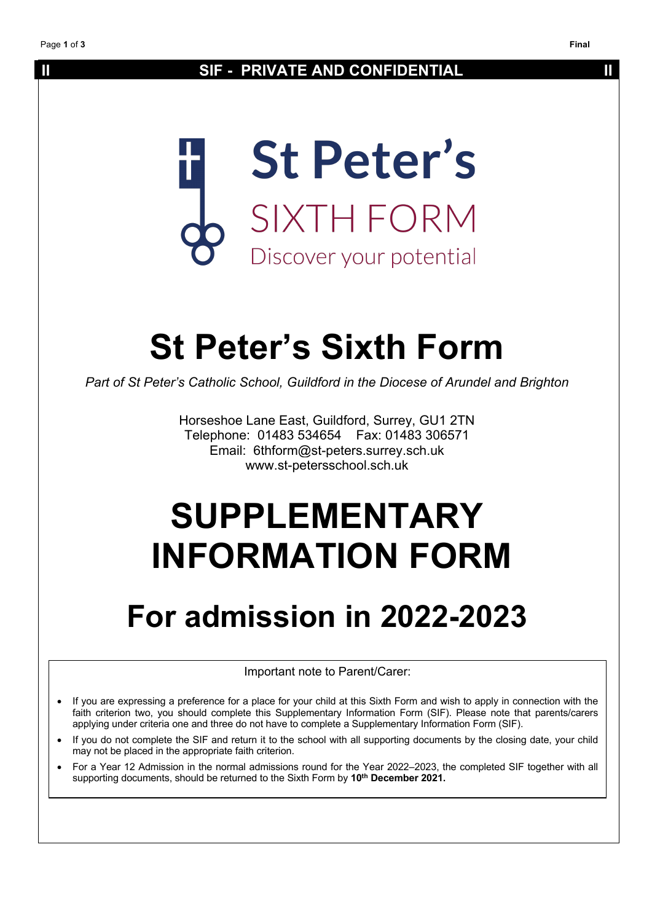# **II SIF - PRIVATE AND CONFIDENTIAL II**



# **St Peter's Sixth Form**

*Part of St Peter's Catholic School, Guildford in the Diocese of Arundel and Brighton*

Horseshoe Lane East, Guildford, Surrey, GU1 2TN Telephone: 01483 534654 Fax: 01483 306571 Email: 6thform@st-peters.surrey.sch.uk www.st-petersschool.sch.uk

# **SUPPLEMENTARY INFORMATION FORM**

# **For admission in 2022-2023**

Important note to Parent/Carer:

- If you are expressing a preference for a place for your child at this Sixth Form and wish to apply in connection with the faith criterion two, you should complete this Supplementary Information Form (SIF). Please note that parents/carers applying under criteria one and three do not have to complete a Supplementary Information Form (SIF).
- If you do not complete the SIF and return it to the school with all supporting documents by the closing date, your child may not be placed in the appropriate faith criterion.
- For a Year 12 Admission in the normal admissions round for the Year 2022–2023, the completed SIF together with all supporting documents, should be returned to the Sixth Form by **10th December 2021.**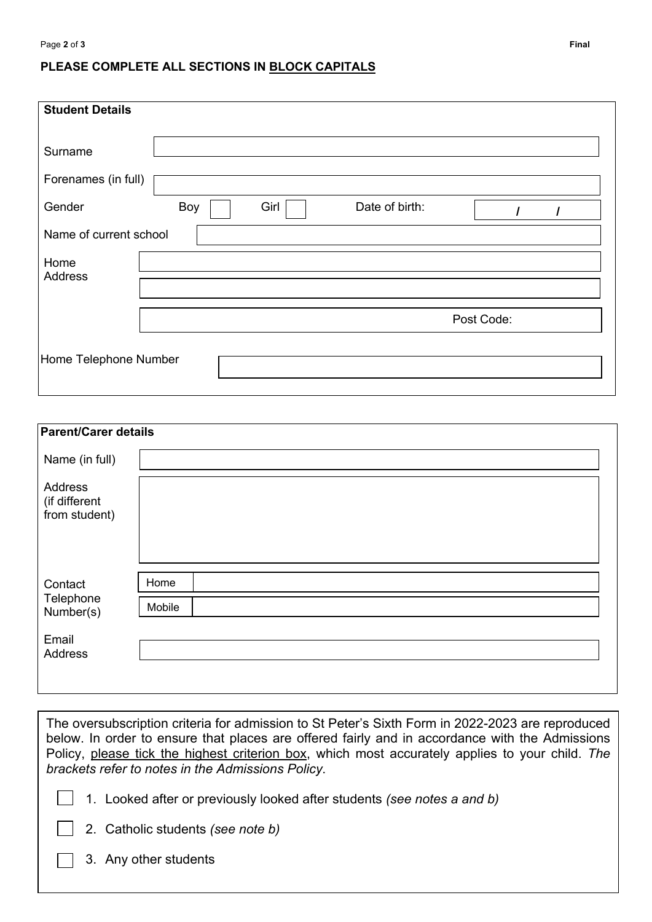## **PLEASE COMPLETE ALL SECTIONS IN BLOCK CAPITALS**

| <b>Student Details</b> |     |      |                |            |  |
|------------------------|-----|------|----------------|------------|--|
| Surname                |     |      |                |            |  |
| Forenames (in full)    |     |      |                |            |  |
| Gender                 | Boy | Girl | Date of birth: |            |  |
| Name of current school |     |      |                |            |  |
| Home<br>Address        |     |      |                |            |  |
|                        |     |      |                | Post Code: |  |
| Home Telephone Number  |     |      |                |            |  |

| <b>Parent/Carer details</b>               |        |
|-------------------------------------------|--------|
| Name (in full)                            |        |
| Address<br>(if different<br>from student) |        |
| Contact<br>Telephone<br>Number(s)         | Home   |
|                                           | Mobile |
| Email<br>Address                          |        |

The oversubscription criteria for admission to St Peter's Sixth Form in 2022-2023 are reproduced below. In order to ensure that places are offered fairly and in accordance with the Admissions Policy, please tick the highest criterion box, which most accurately applies to your child. *The brackets refer to notes in the Admissions Policy*.

- 1. Looked after or previously looked after students *(see notes a and b)*
- 2. Catholic students *(see note b)*
- 3. Any other students